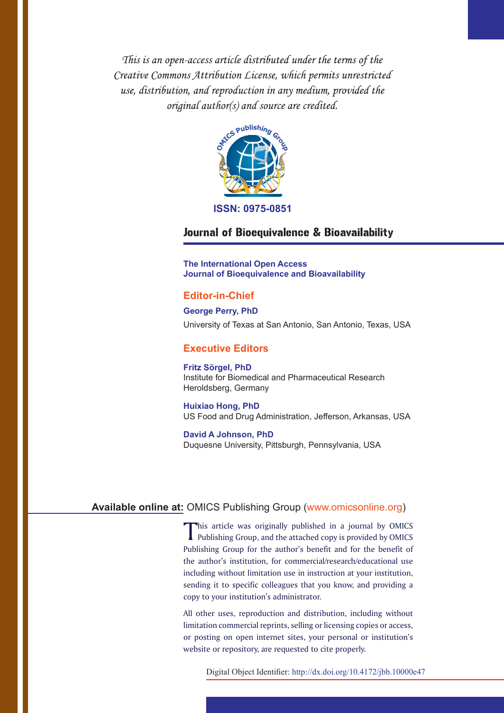This is an open-access article distributed under the terms of the Creative Commons Attribution License, which permits unrestricted use, distribution, and reproduction in any medium, provided the original author(s) and source are credited.



**ISSN: 0975-0851**

# Journal of Bioequivalence & Bioavailability

**The International Open Access Journal of Bioequivalence and Bioavailability**

# **Editor-in-Chief**

**George Perry, PhD** University of Texas at San Antonio, San Antonio, Texas, USA

# **Executive Editors**

**Fritz Sörgel, PhD** Institute for Biomedical and Pharmaceutical Research Heroldsberg, Germany

**Huixiao Hong, PhD** US Food and Drug Administration, Jefferson, Arkansas, USA

**David A Johnson, PhD** Duquesne University, Pittsburgh, Pennsylvania, USA

# **Available online at:** OMICS Publishing Group (www.omicsonline.org)

This article was originally published in a journal by OMICS Publishing Group, and the attached copy is provided by OMICS Publishing Group for the author's benefit and for the benefit of the author's institution, for commercial/research/educational use including without limitation use in instruction at your institution, sending it to specific colleagues that you know, and providing a copy to your institution's administrator.

All other uses, reproduction and distribution, including without limitation commercial reprints, selling or licensing copies or access, or posting on open internet sites, your personal or institution's website or repository, are requested to cite properly.

Digital Object Identifier: http://dx.doi.org/10.4172/jbb.10000e47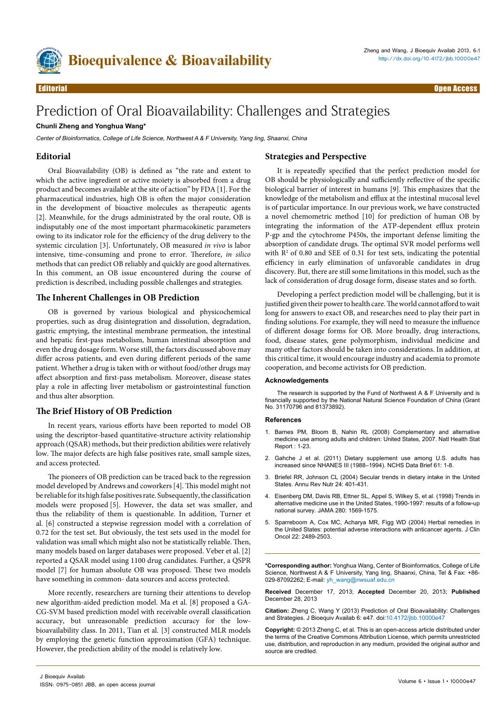

# Prediction of Oral Bioavailability: Challenges and Strategies

### **Chunli Zheng and Yonghua Wang\***

Center of Bioinformatics, College of Life Science, Northwest A & F University, Yang ling, Shaanxi, China

## **Editorial**

Oral Bioavailability (OB) is defined as "the rate and extent to which the active ingredient or active moiety is absorbed from a drug product and becomes available at the site of action" by FDA [1]. For the pharmaceutical industries, high OB is often the major consideration in the development of bioactive molecules as therapeutic agents [2]. Meanwhile, for the drugs administrated by the oral route, OB is indisputably one of the most important pharmacokinetic parameters owing to its indicator role for the efficiency of the drug delivery to the systemic circulation [3]. Unfortunately, OB measured *in vivo* is labor intensive, time-consuming and prone to error. Therefore, *in silico* methods that can predict OB reliably and quickly are good alternatives. In this comment, an OB issue encountered during the course of prediction is described, including possible challenges and strategies.

#### **The Inherent Challenges in OB Prediction**

OB is governed by various biological and physicochemical properties, such as drug disintegration and dissolution, degradation, gastric emptying, the intestinal membrane permeation, the intestinal and hepatic first-pass metabolism, human intestinal absorption and even the drug dosage form. Worse still, the factors discussed above may differ across patients, and even during different periods of the same patient. Whether a drug is taken with or without food/other drugs may affect absorption and first-pass metabolism. Moreover, disease states play a role in affecting liver metabolism or gastrointestinal function and thus alter absorption.

## **The Brief History of OB Prediction**

In recent years, various efforts have been reported to model OB using the descriptor-based quantitative-structure activity relationship approach (QSAR) methods, but their prediction abilities were relatively low. The major defects are high false positives rate, small sample sizes, and access protected.

The pioneers of OB prediction can be traced back to the regression model developed by Andrews and coworkers [4]. This model might not be reliable for its high false positives rate. Subsequently, the classification models were proposed [5]. However, the data set was smaller, and thus the reliability of them is questionable. In addition, Turner et al. [6] constructed a stepwise regression model with a correlation of 0.72 for the test set. But obviously, the test sets used in the model for validation was small which might also not be statistically reliable. Then, many models based on larger databases were proposed. Veber et al. [2] reported a QSAR model using 1100 drug candidates. Further, a QSPR model [7] for human absolute OB was proposed. These two models have something in common- data sources and access protected.

More recently, researchers are turning their attentions to develop new algorithm-aided prediction model. Ma et al. [8] proposed a GA-CG-SVM based prediction model with receivable overall classification accuracy, but unreasonable prediction accuracy for the lowbioavailability class. In 2011, Tian et al. [3] constructed MLR models by employing the genetic function approximation (GFA) technique. However, the prediction ability of the model is relatively low.

#### **Strategies and Perspective**

It is repeatedly specified that the perfect prediction model for OB should be physiologically and sufficiently reflective of the specific biological barrier of interest in humans [9]. This emphasizes that the knowledge of the metabolism and efflux at the intestinal mucosal level is of particular importance. In our previous work, we have constructed a novel chemometric method [10] for prediction of human OB by integrating the information of the ATP-dependent efflux protein P-gp and the cytochrome P450s, the important defense limiting the absorption of candidate drugs. The optimal SVR model performs well with  $\mathbb{R}^2$  of 0.80 and SEE of 0.31 for test sets, indicating the potential efficiency in early elimination of unfavorable candidates in drug discovery. But, there are still some limitations in this model, such as the lack of consideration of drug dosage form, disease states and so forth.

Developing a perfect prediction model will be challenging, but it is justified given their power to health care. The world cannot afford to wait long for answers to exact OB, and researches need to play their part in finding solutions. For example, they will need to measure the influence of different dosage forms for OB. More broadly, drug interactions, food, disease states, gene polymorphism, individual medicine and many other factors should be taken into considerations. In addition, at this critical time, it would encourage industry and academia to promote cooperation, and become activists for OB prediction.

#### **Acknowledgements**

The research is supported by the Fund of Northwest A & F University and is financially supported by the National Natural Science Foundation of China (Grant No. 31170796 and 81373892).

#### **References**

- 1. [Barnes PM, Bloom B, Nahin RL \(2008\) Complementary and alternative](http://www.ncbi.nlm.nih.gov/pubmed/19361005)  [medicine use among adults and children: United States, 2007. Natl Health Stat](http://www.ncbi.nlm.nih.gov/pubmed/19361005)  [Report : 1-23.](http://www.ncbi.nlm.nih.gov/pubmed/19361005)
- 2. [Gahche J et al. \(2011\) Dietary supplement use among U.S. adults has](http://www.ncbi.nlm.nih.gov/pubmed/21592424)  [increased since NHANES III \(1988–1994\). NCHS Data Brief 61: 1-8.](http://www.ncbi.nlm.nih.gov/pubmed/21592424)
- 3. [Briefel RR, Johnson CL \(2004\) Secular trends in dietary intake in the United](http://www.ncbi.nlm.nih.gov/pubmed/15189126)  [States. Annu Rev Nutr 24: 401-431.](http://www.ncbi.nlm.nih.gov/pubmed/15189126)
- 4. [Eisenberg DM, Davis RB, Ettner SL, Appel S, Wilkey S, et al. \(1998\) Trends in](http://www.ncbi.nlm.nih.gov/pubmed/9820257)  [alternative medicine use in the United States, 1990-1997: results of a follow-up](http://www.ncbi.nlm.nih.gov/pubmed/9820257)  [national survey. JAMA 280: 1569-1575.](http://www.ncbi.nlm.nih.gov/pubmed/9820257)
- 5. [Sparreboom A, Cox MC, Acharya MR, Figg WD \(2004\) Herbal remedies in](http://www.ncbi.nlm.nih.gov/pubmed/15197212)  [the United States: potential adverse interactions with anticancer agents. J Clin](http://www.ncbi.nlm.nih.gov/pubmed/15197212)  [Oncol 22: 2489-2503.](http://www.ncbi.nlm.nih.gov/pubmed/15197212)

**\*Corresponding author:** Yonghua Wang, Center of Bioinformatics, College of Life Science, Northwest A & F University, Yang ling, Shaanxi, China, Tel & Fax: +86- 029-87092262; E-mail: yh\_wang@nwsuaf.edu.cn

**Received** December 17, 2013; **Accepted** December 20, 2013; **Published** December 28, 2013

**Citation:** Zheng C, Wang Y (2013) Prediction of Oral Bioavailability: Challenges and Strategies. J Bioequiv Availab 6: e47. doi[:10.4172/jbb.10000e47](http://dx.doi.org/10.4172/jbb.10000e47)

**Copyright:** © 2013 Zheng C, et al. This is an open-access article distributed under the terms of the Creative Commons Attribution License, which permits unrestricted use, distribution, and reproduction in any medium, provided the original author and source are credited.